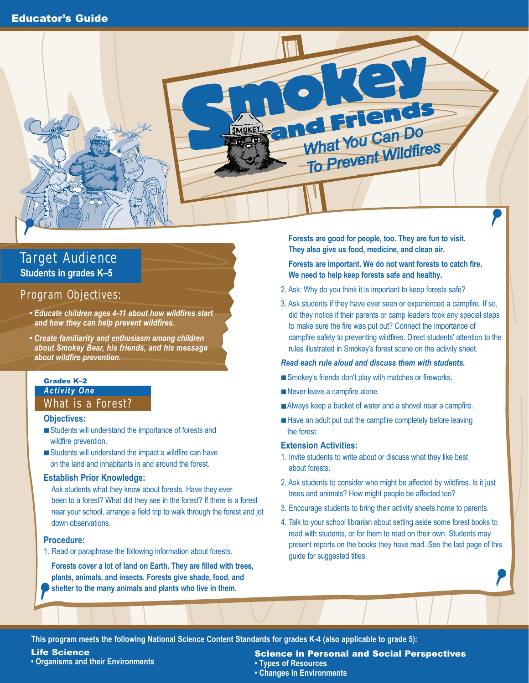

# Target Audience

**Students in grades K–5**

# Program Objectives:

- *Educate children ages 4-11 about how wildfires start and how they can help prevent wildfires.*
- *Create familiarity and enthusiasm among children about Smokey Bear, his friends, and his message about wildfire prevention.*

# Grades K–2 *Activity One*  What is a Forest?

#### **Objectives:**

- Students will understand the importance of forests and wildfire prevention.
- Students will understand the impact a wildfire can have on the land and inhabitants in and around the forest.

#### **Establish Prior Knowledge:**

Ask students what they know about forests. Have they ever been to a forest? What did they see in the forest? If there is a forest near your school, arrange a field trip to walk through the forest and jot down observations.

## **Procedure:**

1. Read or paraphrase the following information about forests.

**Forests cover a lot of land on Earth. They are filled with trees, plants, animals, and insects. Forests give shade, food, and shelter to the many animals and plants who live in them.**

**Forests are good for people, too. They are fun to visit. They also give us food, medicine, and clean air.**

**Forests are important. We do not want forests to catch fire. We need to help keep forests safe and healthy.** 

- 2. Ask: Why do you think it is important to keep forests safe?
- 3. Ask students if they have ever seen or experienced a campfire. If so, did they notice if their parents or camp leaders took any special steps to make sure the fire was put out? Connect the importance of campfire safety to preventing wildfires. Direct students' attention to the rules illustrated in Smokey's forest scene on the activity sheet.

#### *Read each rule aloud and discuss them with students.*

- Smokey's friends don't play with matches or fireworks.
- Never leave a campfire alone.
- Always keep a bucket of water and a shovel near a campfire.
- Have an adult put out the campfire completely before leaving the forest.

# **Extension Activities:**

- 1. Invite students to write about or discuss what they like best about forests.
- 2. Ask students to consider who might be affected by wildfires. Is it just trees and animals? How might people be affected too?
- 3. Encourage students to bring their activity sheets home to parents.
- 4. Talk to your school librarian about setting aside some forest books to read with students, or for them to read on their own. Students may present reports on the books they have read. See the last page of this guide for suggested titles.

**This program meets the following National Science Content Standards for grades K-4 (also applicable to grade 5):**

Life Science<br>• Organisms and their Environments

**Science in Personal and Social Perspectives • Types of Resources**

**• Changes in Environments**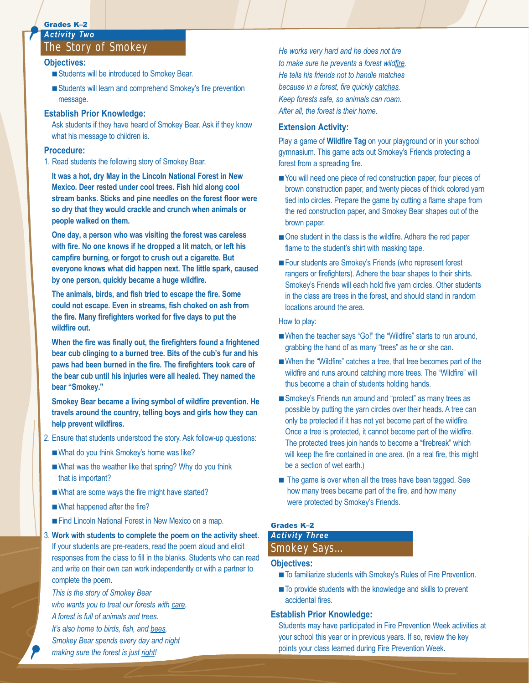#### Grades K–2 *Activity Two*

# The Story of Smokey

### **Objectives:**

- Students will be introduced to Smokey Bear.
- Students will learn and comprehend Smokey's fire prevention message.

#### **Establish Prior Knowledge:**

Ask students if they have heard of Smokey Bear. Ask if they know what his message to children is.

#### **Procedure:**

1. Read students the following story of Smokey Bear.

**It was a hot, dry May in the Lincoln National Forest in New Mexico. Deer rested under cool trees. Fish hid along cool stream banks. Sticks and pine needles on the forest floor were so dry that they would crackle and crunch when animals or people walked on them.**

**One day, a person who was visiting the forest was careless with fire. No one knows if he dropped a lit match, or left his campfire burning, or forgot to crush out a cigarette. But everyone knows what did happen next. The little spark, caused by one person, quickly became a huge wildfire.** 

**The animals, birds, and fish tried to escape the fire. Some could not escape. Even in streams, fish choked on ash from the fire. Many firefighters worked for five days to put the wildfire out.**

**When the fire was finally out, the firefighters found a frightened bear cub clinging to a burned tree. Bits of the cub's fur and his paws had been burned in the fire. The firefighters took care of the bear cub until his injuries were all healed. They named the bear "Smokey."** 

**Smokey Bear became a living symbol of wildfire prevention. He travels around the country, telling boys and girls how they can help prevent wildfires.**

- 2. Ensure that students understood the story. Ask follow-up questions:
	- What do you think Smokey's home was like?
	- What was the weather like that spring? Why do you think that is important?
	- What are some ways the fire might have started?
	- What happened after the fire?
	- Find Lincoln National Forest in New Mexico on a map.
- 3. **Work with students to complete the poem on the activity sheet.** If your students are pre-readers, read the poem aloud and elicit

responses from the class to fill in the blanks. Students who can read and write on their own can work independently or with a partner to complete the poem.

*This is the story of Smokey Bear*

*who wants you to treat our forests with care.*

- *A forest is full of animals and trees.*
- *It's also home to birds, fish, and bees.*
- *Smokey Bear spends every day and night*
- *making sure the forest is just right!*

*He works very hard and he does not tire to make sure he prevents a forest wildfire. He tells his friends not to handle matches because in a forest, fire quickly catches. Keep forests safe, so animals can roam. After all, the forest is their home.*

### **Extension Activity:**

Play a game of **Wildfire Tag** on your playground or in your school gymnasium. This game acts out Smokey's Friends protecting a forest from a spreading fire.

- You will need one piece of red construction paper, four pieces of brown construction paper, and twenty pieces of thick colored yarn tied into circles. Prepare the game by cutting a flame shape from the red construction paper, and Smokey Bear shapes out of the brown paper.
- One student in the class is the wildfire. Adhere the red paper flame to the student's shirt with masking tape.
- Four students are Smokey's Friends (who represent forest rangers or firefighters). Adhere the bear shapes to their shirts. Smokey's Friends will each hold five yarn circles. Other students in the class are trees in the forest, and should stand in random locations around the area.

How to play:

- When the teacher says "Go!" the "Wildfire" starts to run around, grabbing the hand of as many "trees" as he or she can.
- When the "Wildfire" catches a tree, that tree becomes part of the wildfire and runs around catching more trees. The "Wildfire" will thus become a chain of students holding hands.
- Smokey's Friends run around and "protect" as many trees as possible by putting the yarn circles over their heads. A tree can only be protected if it has not yet become part of the wildfire. Once a tree is protected, it cannot become part of the wildfire. The protected trees join hands to become a "firebreak" which will keep the fire contained in one area. (In a real fire, this might be a section of wet earth.)
- The game is over when all the trees have been tagged. See how many trees became part of the fire, and how many were protected by Smokey's Friends.

# Grades K–2 *Activity Three*  Smokey Says…

#### **Objectives:**

- To familiarize students with Smokey's Rules of Fire Prevention.
- To provide students with the knowledge and skills to prevent accidental fires.

#### **Establish Prior Knowledge:**

Students may have participated in Fire Prevention Week activities at your school this year or in previous years. If so, review the key points your class learned during Fire Prevention Week.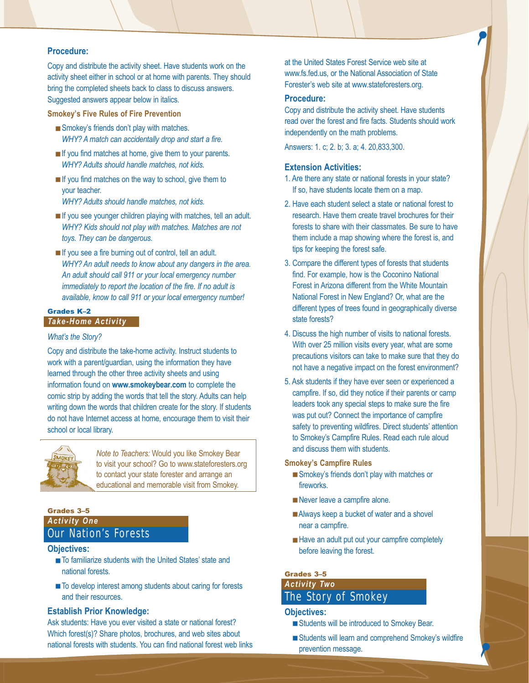#### **Procedure:**

Copy and distribute the activity sheet. Have students work on the activity sheet either in school or at home with parents. They should bring the completed sheets back to class to discuss answers. Suggested answers appear below in italics.

#### **Smokey's Five Rules of Fire Prevention**

- Smokey's friends don't play with matches. *WHY? A match can accidentally drop and start a fire.*
- If you find matches at home, give them to your parents. *WHY? Adults should handle matches, not kids.*
- If you find matches on the way to school, give them to your teacher. *WHY? Adults should handle matches, not kids.*
- If you see younger children playing with matches, tell an adult. *WHY? Kids should not play with matches. Matches are not toys. They can be dangerous.*
- If you see a fire burning out of control, tell an adult. *WHY? An adult needs to know about any dangers in the area. An adult should call 911 or your local emergency number immediately to report the location of the fire. If no adult is available, know to call 911 or your local emergency number!*

#### Grades K–2 *Take-Home Activity*

#### *What's the Story?*

Copy and distribute the take-home activity. Instruct students to work with a parent/guardian, using the information they have learned through the other three activity sheets and using information found on **www.smokeybear.com** to complete the comic strip by adding the words that tell the story. Adults can help writing down the words that children create for the story. If students do not have Internet access at home, encourage them to visit their school or local library.



*Note to Teachers:* Would you like Smokey Bear to visit your school? Go to www.stateforesters.org to contact your state forester and arrange an educational and memorable visit from Smokey.

# Grades 3–5 *Activity One*  Our Nation's Forests

#### **Objectives:**

- To familiarize students with the United States' state and national forests.
- To develop interest among students about caring for forests and their resources.

#### **Establish Prior Knowledge:**

Ask students: Have you ever visited a state or national forest? Which forest(s)? Share photos, brochures, and web sites about national forests with students. You can find national forest web links at the United States Forest Service web site at www.fs.fed.us, or the National Association of State Forester's web site at www.stateforesters.org.

#### **Procedure:**

Copy and distribute the activity sheet. Have students read over the forest and fire facts. Students should work independently on the math problems.

Answers: 1. c; 2. b; 3. a; 4. 20,833,300.

#### **Extension Activities:**

- 1. Are there any state or national forests in your state? If so, have students locate them on a map.
- 2. Have each student select a state or national forest to research. Have them create travel brochures for their forests to share with their classmates. Be sure to have them include a map showing where the forest is, and tips for keeping the forest safe.
- 3. Compare the different types of forests that students find. For example, how is the Coconino National Forest in Arizona different from the White Mountain National Forest in New England? Or, what are the different types of trees found in geographically diverse state forests?
- 4. Discuss the high number of visits to national forests. With over 25 million visits every year, what are some precautions visitors can take to make sure that they do not have a negative impact on the forest environment?
- 5. Ask students if they have ever seen or experienced a campfire. If so, did they notice if their parents or camp leaders took any special steps to make sure the fire was put out? Connect the importance of campfire safety to preventing wildfires. Direct students' attention to Smokey's Campfire Rules. Read each rule aloud and discuss them with students.

**Smokey's Campfire Rules**

- Smokey's friends don't play with matches or fireworks.
- Never leave a campfire alone.
- Always keep a bucket of water and a shovel near a campfire.
- Have an adult put out your campfire completely before leaving the forest.

## Grades 3–5

# *Activity Two*  The Story of Smokey

**Objectives:**

- Students will be introduced to Smokey Bear.
- Students will learn and comprehend Smokey's wildfire prevention message.